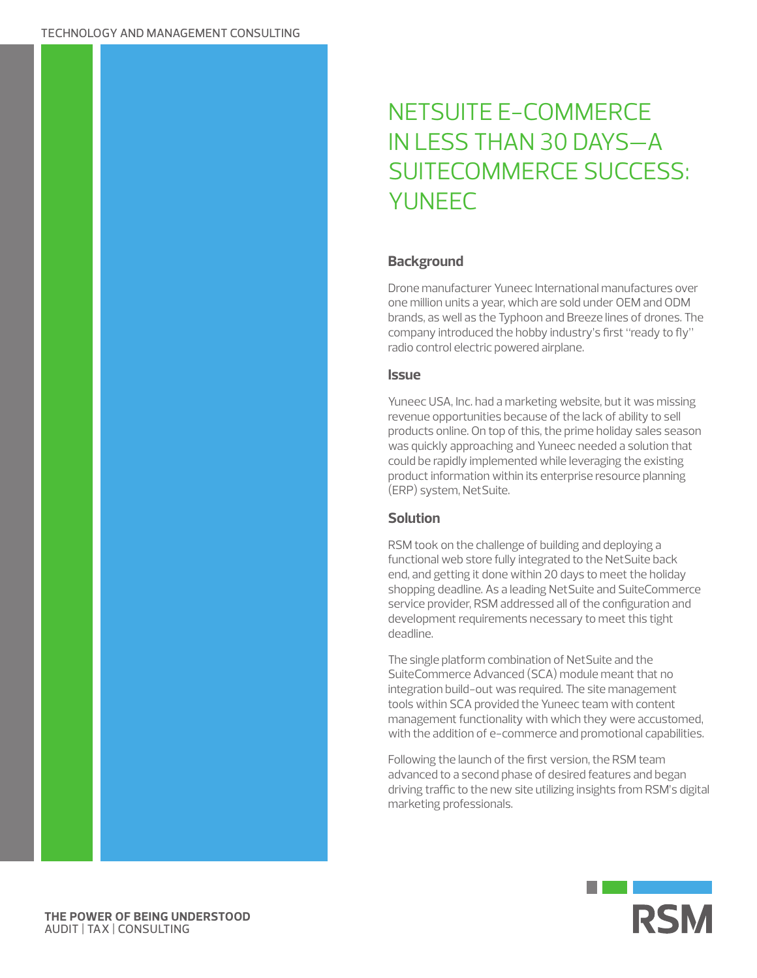# NETSUITE E-COMMERCE IN LESS THAN 30 DAYS—A SUITECOMMERCE SUCCESS: **YUNFFC**

## **Background**

Drone manufacturer Yuneec International manufactures over one million units a year, which are sold under OEM and ODM brands, as well as the Typhoon and Breeze lines of drones. The company introduced the hobby industry's first "ready to fly" radio control electric powered airplane.

## **Issue**

Yuneec USA, Inc. had a marketing website, but it was missing revenue opportunities because of the lack of ability to sell products online. On top of this, the prime holiday sales season was quickly approaching and Yuneec needed a solution that could be rapidly implemented while leveraging the existing product information within its enterprise resource planning (ERP) system, NetSuite.

## **Solution**

RSM took on the challenge of building and deploying a functional web store fully integrated to the NetSuite back end, and getting it done within 20 days to meet the holiday shopping deadline. As a leading NetSuite and SuiteCommerce service provider, RSM addressed all of the configuration and development requirements necessary to meet this tight deadline.

The single platform combination of NetSuite and the SuiteCommerce Advanced (SCA) module meant that no integration build-out was required. The site management tools within SCA provided the Yuneec team with content management functionality with which they were accustomed, with the addition of e-commerce and promotional capabilities.

Following the launch of the first version, the RSM team advanced to a second phase of desired features and began driving traffic to the new site utilizing insights from RSM's digital marketing professionals.



**THE POWER OF BEING UNDERSTOOD** AUDIT | TAX | CONSULTING